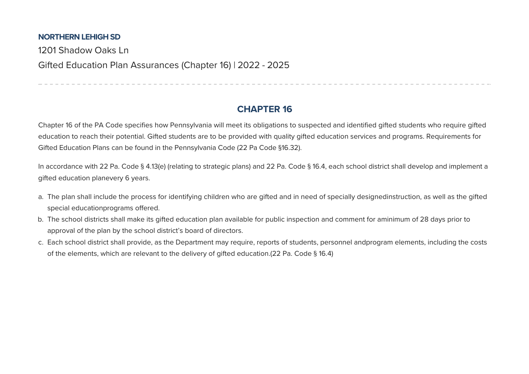## **NORTHERN LEHIGH SD**

1201 Shadow Oaks Ln Gifted Education Plan Assurances (Chapter 16) | 2022 - 2025

## **CHAPTER 16**

------------------------------

Chapter 16 of the PA Code specifies how Pennsylvania will meet its obligations to suspected and identified gifted students who require gifted education to reach their potential. Gifted students are to be provided with quality gifted education services and programs. Requirements for Gifted Education Plans can be found in the Pennsylvania Code (22 Pa Code §16.32).

In accordance with 22 Pa. Code § 4.13(e) (relating to strategic plans) and 22 Pa. Code § 16.4, each school district shall develop and implement a gifted education planevery 6 years.

- a. The plan shall include the process for identifying children who are gifted and in need of specially designedinstruction, as well as the gifted special educationprograms offered.
- b. The school districts shall make its gifted education plan available for public inspection and comment for aminimum of 28 days prior to approval of the plan by the school district's board of directors.
- c. Each school district shall provide, as the Department may require, reports of students, personnel andprogram elements, including the costs of the elements, which are relevant to the delivery of gifted education.(22 Pa. Code § 16.4)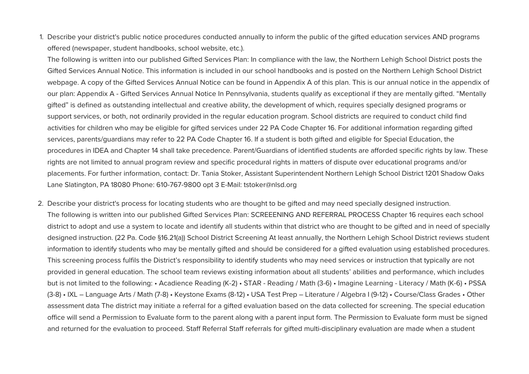1. Describe your district's public notice procedures conducted annually to inform the public of the gifted education services AND programs offered (newspaper, student handbooks, school website, etc.).

The following is written into our published Gifted Services Plan: In compliance with the law, the Northern Lehigh School District posts the Gifted Services Annual Notice. This information is included in our school handbooks and is posted on the Northern Lehigh School District webpage. A copy of the Gifted Services Annual Notice can be found in Appendix A of this plan. This is our annual notice in the appendix of our plan: Appendix A - Gifted Services Annual Notice In Pennsylvania, students qualify as exceptional if they are mentally gifted. "Mentally gifted" is defined as outstanding intellectual and creative ability, the development of which, requires specially designed programs or support services, or both, not ordinarily provided in the regular education program. School districts are required to conduct child find activities for children who may be eligible for gifted services under 22 PA Code Chapter 16. For additional information regarding gifted services, parents/quardians may refer to 22 PA Code Chapter 16. If a student is both gifted and eligible for Special Education, the procedures in IDEA and Chapter 14 shall take precedence. Parent/Guardians of identified students are afforded specific rights by law. These rights are not limited to annual program review and specific procedural rights in matters of dispute over educational programs and/or placements. For further information, contact: Dr. Tania Stoker, Assistant Superintendent Northern Lehigh School District 1201 Shadow Oaks Lane Slatington, PA 18080 Phone: 610-767-9800 opt 3 E-Mail: tstoker@nlsd.org

2. Describe your district's process for locating students who are thought to be gifted and may need specially designed instruction. The following is written into our published Gifted Services Plan: SCREEENING AND REFERRAL PROCESS Chapter 16 requires each school district to adopt and use a system to locate and identify all students within that district who are thought to be gifted and in need of specially designed instruction. (22 Pa. Code §16.21(a)) School District Screening At least annually, the Northern Lehigh School District reviews student information to identify students who may be mentally gifted and should be considered for a gifted evaluation using established procedures. This screening process fulfils the District's responsibility to identify students who may need services or instruction that typically are not provided in general education. The school team reviews existing information about all students' abilities and performance, which includes but is not limited to the following: • Acadience Reading (K-2) • STAR - Reading / Math (3-6) • Imagine Learning - Literacy / Math (K-6) • PSSA (3-8) • IXL – Language Arts / Math (7-8) • Keystone Exams (8-12) • USA Test Prep – Literature / Algebra I (9-12) • Course/Class Grades • Other assessment data The district may initiate a referral for a gifted evaluation based on the data collected for screening. The special education office will send a Permission to Evaluate form to the parent along with a parent input form. The Permission to Evaluate form must be signed and returned for the evaluation to proceed. Staff Referral Staff referrals for gifted multi-disciplinary evaluation are made when a student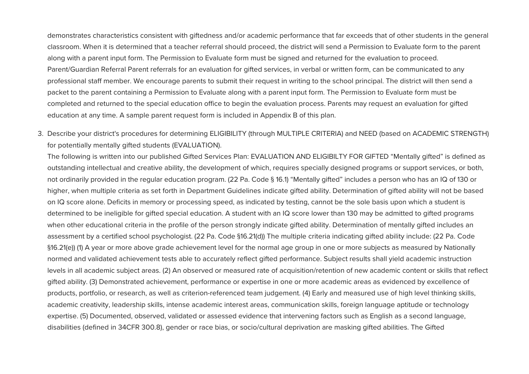demonstrates characteristics consistent with giftedness and/or academic performance that far exceeds that of other students in the general classroom. When it is determined that a teacher referral should proceed, the district will send a Permission to Evaluate form to the parent along with a parent input form. The Permission to Evaluate form must be signed and returned for the evaluation to proceed. Parent/Guardian Referral Parent referrals for an evaluation for gifted services, in verbal or written form, can be communicated to any professional staff member. We encourage parents to submit their request in writing to the school principal. The district will then send a packet to the parent containing a Permission to Evaluate along with a parent input form. The Permission to Evaluate form must be completed and returned to the special education office to begin the evaluation process. Parents may request an evaluation for gifted education at any time. A sample parent request form is included in Appendix B of this plan.

3. Describe your district's procedures for determining ELIGIBILITY (through MULTIPLE CRITERIA) and NEED (based on ACADEMIC STRENGTH) for potentially mentally gifted students (EVALUATION).

The following is written into our published Gifted Services Plan: EVALUATION AND ELIGIBILTY FOR GIFTED "Mentally gifted" is defined as outstanding intellectual and creative ability, the development of which, requires specially designed programs or support services, or both, not ordinarily provided in the regular education program. (22 Pa. Code § 16.1) "Mentally gifted" includes a person who has an IQ of 130 or higher, when multiple criteria as set forth in Department Guidelines indicate gifted ability. Determination of gifted ability will not be based on IQ score alone. Deficits in memory or processing speed, as indicated by testing, cannot be the sole basis upon which a student is determined to be ineligible for gifted special education. A student with an IQ score lower than 130 may be admitted to gifted programs when other educational criteria in the profile of the person strongly indicate gifted ability. Determination of mentally gifted includes an assessment by a certified school psychologist. (22 Pa. Code §16.21(d)) The multiple criteria indicating gifted ability include: (22 Pa. Code §16.21(e)) (1) A year or more above grade achievement level for the normal age group in one or more subjects as measured by Nationally normed and validated achievement tests able to accurately reflect gifted performance. Subject results shall yield academic instruction levels in all academic subject areas. (2) An observed or measured rate of acquisition/retention of new academic content or skills that reflect gifted ability. (3) Demonstrated achievement, performance or expertise in one or more academic areas as evidenced by excellence of products, portfolio, or research, as well as criterion-referenced team judgement. (4) Early and measured use of high level thinking skills, academic creativity, leadership skills, intense academic interest areas, communication skills, foreign language aptitude or technology expertise. (5) Documented, observed, validated or assessed evidence that intervening factors such as English as a second language, disabilities (defined in 34CFR 300.8), gender or race bias, or socio/cultural deprivation are masking gifted abilities. The Gifted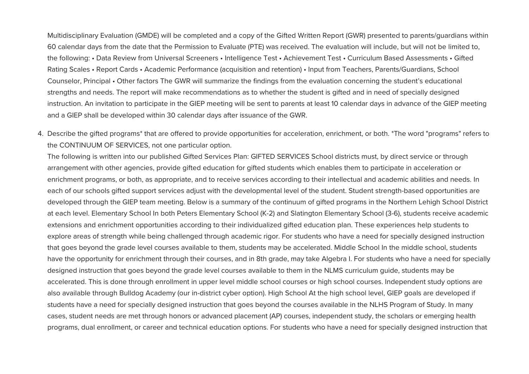Multidisciplinary Evaluation (GMDE) will be completed and a copy of the Gifted Written Report (GWR) presented to parents/guardians within 60 calendar davs from the date that the Permission to Evaluate (PTE) was received. The evaluation will include, but will not be limited to, the following: • Data Review from Universal Screeners • Intelligence Test • Achievement Test • Curriculum Based Assessments • Gifted Rating Scales • Report Cards • Academic Performance (acquisition and retention) • Input from Teachers, Parents/Guardians, School Counselor, Principal • Other factors The GWR will summarize the findings from the evaluation concerning the student's educational strengths and needs. The report will make recommendations as to whether the student is gifted and in need of specially designed instruction. An invitation to participate in the GIEP meeting will be sent to parents at least 10 calendar days in advance of the GIEP meeting and a GIEP shall be developed within 30 calendar days after issuance of the GWR.

4. Describe the gifted programs\* that are offered to provide opportunities for acceleration, enrichment, or both. \*The word "programs" refers to the CONTINUUM OF SERVICES, not one particular option.

The following is written into our published Gifted Services Plan: GIFTED SERVICES School districts must, by direct service or through arrangement with other agencies, provide gifted education for gifted students which enales them to participate in acceleration or enrichment programs, or both, as appropriate, and to receive services according to their intellectual and academic abilities and needs. In each of our schools gifted support services adjust with the developmental level of the student. Student strength-based opportunities are developed through the GIEP team meeting. Below is a summary of the continuum of gifted programs in the Northern Lehigh School District at each level. Elementary School In both Peters Elementary School (K-2) and Slatington Elementary School (3-6), students receive academic extensions and enrichment opportunities according to their individualized gifted education plan. These experiences help students to explore areas of strength while being challenged through academic rigor. For students who have a need for specially designed instruction that goes beyond the grade level courses available to them, students may be accelerated. Middle School In the middle school, students have the opportunity for enrichment through their courses, and in 8th grade, may take Algebra I. For students who have a need for specially designed instruction that goes beyond the grade level courses available to them in the NLMS curriculum guide, students may be accelerated. This is done through enrollment in upper level middle school courses or high school courses. Independent study options are also available through Bulldog Academy (our in-district cyber option). High School At the high school level, GIEP goals are developed if students have a need for specially designed instruction that goes beyond the courses available in the NLHS Program of Study. In many cases, student needs are met through honors or advanced placement (AP) courses, independent study, the scholars or emerging health programs, dual enrollment, or career and technical education options. For students who have a need for specially designed instruction that